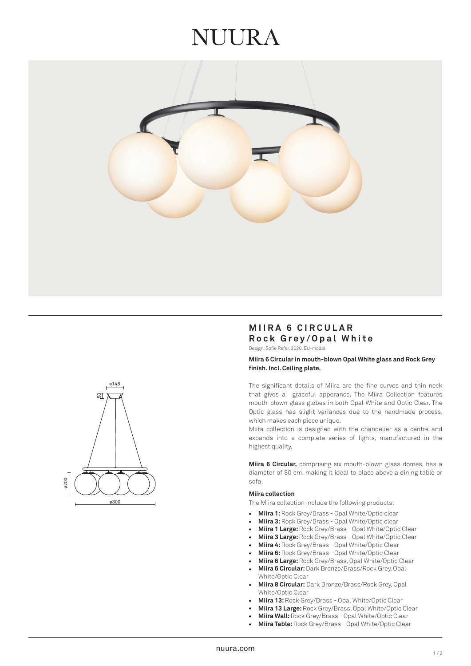# **JI JI JR A**





# **MIIRA 6 CIRCULAR Rock Grey/Opal White**

Design: Sofie Refer, 2020. EU-model.

# **Miira 6 Circular in mouth-blown Opal White glass and Rock Grey finish. Incl. Ceiling plate.**

The significant details of Miira are the fine curves and thin neck that gives a graceful apperance. The Miira Collection features mouth-blown glass globes in both Opal White and Optic Clear. The Optic glass has slight variances due to the handmade process, which makes each piece unique.

Miira collection is designed with the chandelier as a centre and expands into a complete series of lights, manufactured in the highest quality.

**Miira 6 Circular,** comprising six mouth-blown glass domes, has a diameter of 80 cm, making it ideal to place above a dining table or sofa.

### **Miira collection**

The Miira collection include the following products:

- $\ddot{\phantom{0}}$ **Miira 1:** Rock Grey/Brass - Opal White/Optic clear
- **Miira 3:** Rock Grey/Brass Opal White/Optic clear
- **Miira 1 Large:** Rock Grey/Brass Opal White/Optic Clear
- **Miira 3 Large:** Rock Grey/Brass Opal White/Optic Clear
- **Miira 4:** Rock Grey/Brass Opal White/Optic Clear
- **Miira 6:** Rock Grey/Brass Opal White/Optic Clear
- **Miira 6 Large:** Rock Grey/Brass, Opal White/Optic Clear
- **Miira 6 Circular:** Dark Bronze/Brass/Rock Grey, Opal White/Optic Clear •••••••••••••
- **Miira 8 Circular:** Dark Bronze/Brass/Rock Grey, Opal White/Optic Clear
- **Miira 13:** Rock Grey/Brass Opal White/Optic Clear
- **Miira 13 Large:** Rock Grey/Brass, Opal White/Optic Clear
- **Miira Wall:** Rock Grey/Brass Opal White/Optic Clear
- **Miira Table:** Rock Grey/Brass Opal White/Optic Clear